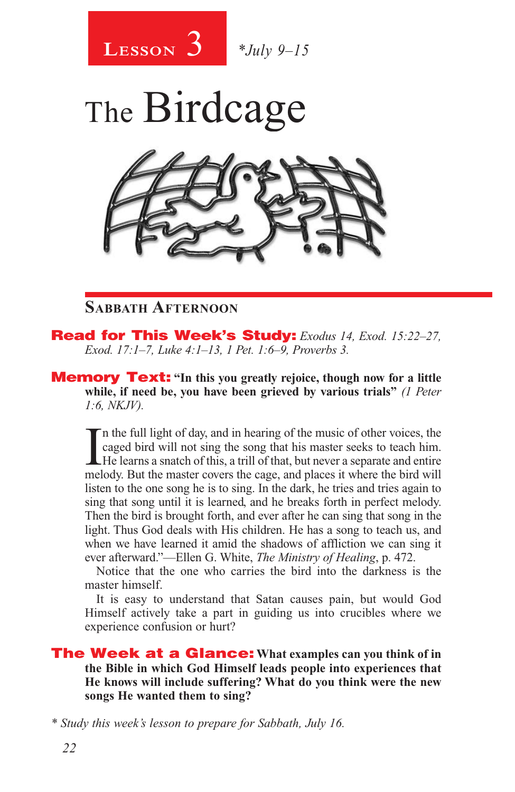

The Birdcage

#### **Sabbath Afternoon**

Read for This Week's Study: *Exodus 14, Exod. 15:22–27, Exod. 17:1–7, Luke 4:1–13, 1 Pet. 1:6–9, Proverbs 3.*

Memory Text: **"In this you greatly rejoice, though now for a little while, if need be, you have been grieved by various trials"** *(1 Peter 1:6, NKJV).* 

In the full light of day, and in hearing of the music of other voices, the caged bird will not sing the song that his master seeks to teach him. He learns a snatch of this, a trill of that, but never a separate and entire n the full light of day, and in hearing of the music of other voices, the caged bird will not sing the song that his master seeks to teach him. He learns a snatch of this, a trill of that, but never a separate and entire listen to the one song he is to sing. In the dark, he tries and tries again to sing that song until it is learned, and he breaks forth in perfect melody. Then the bird is brought forth, and ever after he can sing that song in the light. Thus God deals with His children. He has a song to teach us, and when we have learned it amid the shadows of affliction we can sing it ever afterward."—Ellen G. White, *The Ministry of Healing*, p. 472.

Notice that the one who carries the bird into the darkness is the master himself.

It is easy to understand that Satan causes pain, but would God Himself actively take a part in guiding us into crucibles where we experience confusion or hurt?

The Week at a Glance: **What examples can you think of in the Bible in which God Himself leads people into experiences that He knows will include suffering? What do you think were the new songs He wanted them to sing?**

*\* Study this week's lesson to prepare for Sabbath, July 16.*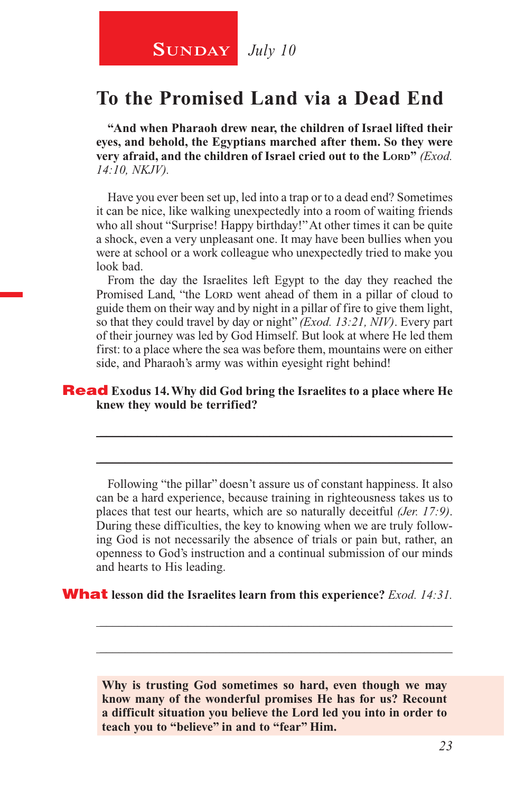**SUNDAY** July 10

### **To the Promised Land via a Dead End**

**"And when Pharaoh drew near, the children of Israel lifted their eyes, and behold, the Egyptians marched after them. So they were very afraid, and the children of Israel cried out to the Lord<sup>\*</sup>** *(Exod.***)** *14:10, NKJV).*

Have you ever been set up, led into a trap or to a dead end? Sometimes it can be nice, like walking unexpectedly into a room of waiting friends who all shout "Surprise! Happy birthday!" At other times it can be quite a shock, even a very unpleasant one. It may have been bullies when you were at school or a work colleague who unexpectedly tried to make you look bad.

From the day the Israelites left Egypt to the day they reached the Promised Land, "the LORD went ahead of them in a pillar of cloud to guide them on their way and by night in a pillar of fire to give them light, so that they could travel by day or night" *(Exod. 13:21, NIV)*. Every part of their journey was led by God Himself. But look at where He led them first: to a place where the sea was before them, mountains were on either side, and Pharaoh's army was within eyesight right behind!

#### Read **Exodus 14. Why did God bring the Israelites to a place where He knew they would be terrified?**

Following "the pillar" doesn't assure us of constant happiness. It also can be a hard experience, because training in righteousness takes us to places that test our hearts, which are so naturally deceitful *(Jer. 17:9)*. During these difficulties, the key to knowing when we are truly following God is not necessarily the absence of trials or pain but, rather, an openness to God's instruction and a continual submission of our minds and hearts to His leading.

\_\_\_\_\_\_\_\_\_\_\_\_\_\_\_\_\_\_\_\_\_\_\_\_\_\_\_\_\_\_\_\_\_\_\_\_\_\_\_\_\_\_\_\_\_\_\_\_\_\_\_\_\_\_\_\_

\_\_\_\_\_\_\_\_\_\_\_\_\_\_\_\_\_\_\_\_\_\_\_\_\_\_\_\_\_\_\_\_\_\_\_\_\_\_\_\_\_\_\_\_\_\_\_\_\_\_\_\_\_\_\_\_

What **lesson did the Israelites learn from this experience?** *Exod. 14:31.*

**Why is trusting God sometimes so hard, even though we may know many of the wonderful promises He has for us? Recount a difficult situation you believe the Lord led you into in order to teach you to "believe" in and to "fear" Him.**

\_\_\_\_\_\_\_\_\_\_\_\_\_\_\_\_\_\_\_\_\_\_\_\_\_\_\_\_\_\_\_\_\_\_\_\_\_\_\_\_\_\_\_\_\_\_\_\_\_\_\_\_\_\_\_\_

\_\_\_\_\_\_\_\_\_\_\_\_\_\_\_\_\_\_\_\_\_\_\_\_\_\_\_\_\_\_\_\_\_\_\_\_\_\_\_\_\_\_\_\_\_\_\_\_\_\_\_\_\_\_\_\_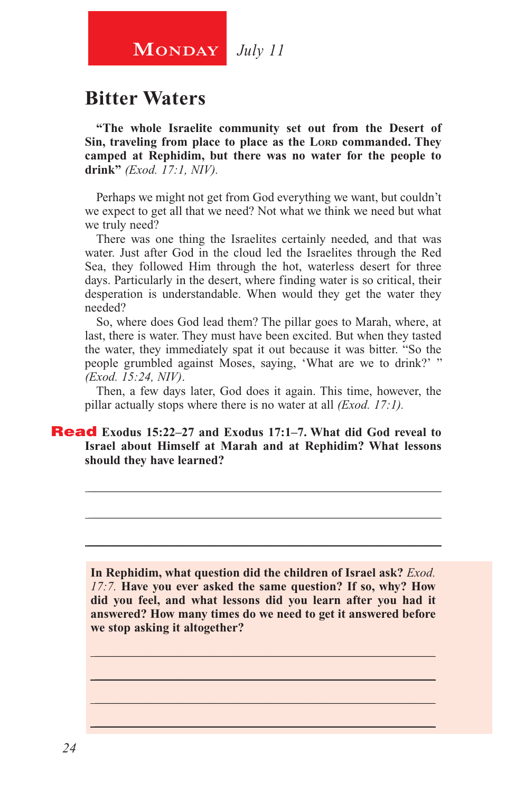## **MONDAY** July 11

### **Bitter Waters**

**"The whole Israelite community set out from the Desert of**  Sin, traveling from place to place as the LORD commanded. They **camped at Rephidim, but there was no water for the people to drink"** *(Exod. 17:1, NIV).*

Perhaps we might not get from God everything we want, but couldn't we expect to get all that we need? Not what we think we need but what we truly need?

There was one thing the Israelites certainly needed, and that was water. Just after God in the cloud led the Israelites through the Red Sea, they followed Him through the hot, waterless desert for three days. Particularly in the desert, where finding water is so critical, their desperation is understandable. When would they get the water they needed?

So, where does God lead them? The pillar goes to Marah, where, at last, there is water. They must have been excited. But when they tasted the water, they immediately spat it out because it was bitter. "So the people grumbled against Moses, saying, 'What are we to drink?' " *(Exod. 15:24, NIV)*.

Then, a few days later, God does it again. This time, however, the pillar actually stops where there is no water at all *(Exod. 17:1).*

\_\_\_\_\_\_\_\_\_\_\_\_\_\_\_\_\_\_\_\_\_\_\_\_\_\_\_\_\_\_\_\_\_\_\_\_\_\_\_\_\_\_\_\_\_\_\_\_\_\_\_\_\_\_\_\_

\_\_\_\_\_\_\_\_\_\_\_\_\_\_\_\_\_\_\_\_\_\_\_\_\_\_\_\_\_\_\_\_\_\_\_\_\_\_\_\_\_\_\_\_\_\_\_\_\_\_\_\_\_\_\_\_

\_\_\_\_\_\_\_\_\_\_\_\_\_\_\_\_\_\_\_\_\_\_\_\_\_\_\_\_\_\_\_\_\_\_\_\_\_\_\_\_\_\_\_\_\_\_\_\_\_\_\_\_\_\_\_\_

#### Read **Exodus 15:22–27 and Exodus 17:1–7. What did God reveal to Israel about Himself at Marah and at Rephidim? What lessons should they have learned?**

**In Rephidim, what question did the children of Israel ask?** *Exod. 17:7.* **Have you ever asked the same question? If so, why? How did you feel, and what lessons did you learn after you had it answered? How many times do we need to get it answered before we stop asking it altogether?** 

\_\_\_\_\_\_\_\_\_\_\_\_\_\_\_\_\_\_\_\_\_\_\_\_\_\_\_\_\_\_\_\_\_\_\_\_\_\_\_\_\_\_\_\_\_\_\_\_\_\_\_\_\_\_ \_\_\_\_\_\_\_\_\_\_\_\_\_\_\_\_\_\_\_\_\_\_\_\_\_\_\_\_\_\_\_\_\_\_\_\_\_\_\_\_\_\_\_\_\_\_\_\_\_\_\_\_\_\_  $\_$  , and the set of the set of the set of the set of the set of the set of the set of the set of the set of the set of the set of the set of the set of the set of the set of the set of the set of the set of the set of th \_\_\_\_\_\_\_\_\_\_\_\_\_\_\_\_\_\_\_\_\_\_\_\_\_\_\_\_\_\_\_\_\_\_\_\_\_\_\_\_\_\_\_\_\_\_\_\_\_\_\_\_\_\_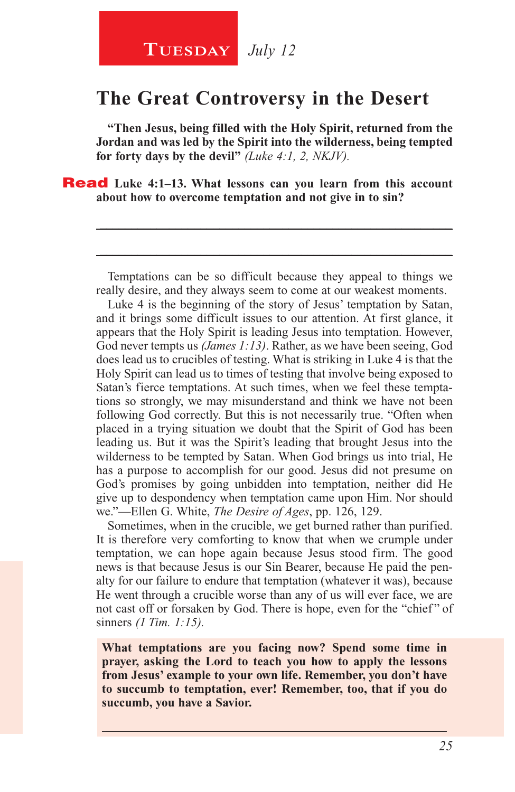## **The Great Controversy in the Desert**

**"Then Jesus, being filled with the Holy Spirit, returned from the Jordan and was led by the Spirit into the wilderness, being tempted for forty days by the devil"** *(Luke 4:1, 2, NKJV).*

Read **Luke 4:1–13. What lessons can you learn from this account about how to overcome temptation and not give in to sin?** 

Temptations can be so difficult because they appeal to things we really desire, and they always seem to come at our weakest moments.

\_\_\_\_\_\_\_\_\_\_\_\_\_\_\_\_\_\_\_\_\_\_\_\_\_\_\_\_\_\_\_\_\_\_\_\_\_\_\_\_\_\_\_\_\_\_\_\_\_\_\_\_\_\_\_\_

\_\_\_\_\_\_\_\_\_\_\_\_\_\_\_\_\_\_\_\_\_\_\_\_\_\_\_\_\_\_\_\_\_\_\_\_\_\_\_\_\_\_\_\_\_\_\_\_\_\_\_\_\_\_\_\_

Luke 4 is the beginning of the story of Jesus' temptation by Satan, and it brings some difficult issues to our attention. At first glance, it appears that the Holy Spirit is leading Jesus into temptation. However, God never tempts us *(James 1:13)*. Rather, as we have been seeing, God does lead us to crucibles of testing. What is striking in Luke 4 is that the Holy Spirit can lead us to times of testing that involve being exposed to Satan's fierce temptations. At such times, when we feel these temptations so strongly, we may misunderstand and think we have not been following God correctly. But this is not necessarily true. "Often when placed in a trying situation we doubt that the Spirit of God has been leading us. But it was the Spirit's leading that brought Jesus into the wilderness to be tempted by Satan. When God brings us into trial, He has a purpose to accomplish for our good. Jesus did not presume on God's promises by going unbidden into temptation, neither did He give up to despondency when temptation came upon Him. Nor should we."—Ellen G. White, *The Desire of Ages*, pp. 126, 129.

Sometimes, when in the crucible, we get burned rather than purified. It is therefore very comforting to know that when we crumple under temptation, we can hope again because Jesus stood firm. The good news is that because Jesus is our Sin Bearer, because He paid the penalty for our failure to endure that temptation (whatever it was), because He went through a crucible worse than any of us will ever face, we are not cast off or forsaken by God. There is hope, even for the "chief" of sinners *(1 Tim. 1:15).*

**What temptations are you facing now? Spend some time in prayer, asking the Lord to teach you how to apply the lessons from Jesus' example to your own life. Remember, you don't have to succumb to temptation, ever! Remember, too, that if you do succumb, you have a Savior.** 

\_\_\_\_\_\_\_\_\_\_\_\_\_\_\_\_\_\_\_\_\_\_\_\_\_\_\_\_\_\_\_\_\_\_\_\_\_\_\_\_\_\_\_\_\_\_\_\_\_\_\_\_\_\_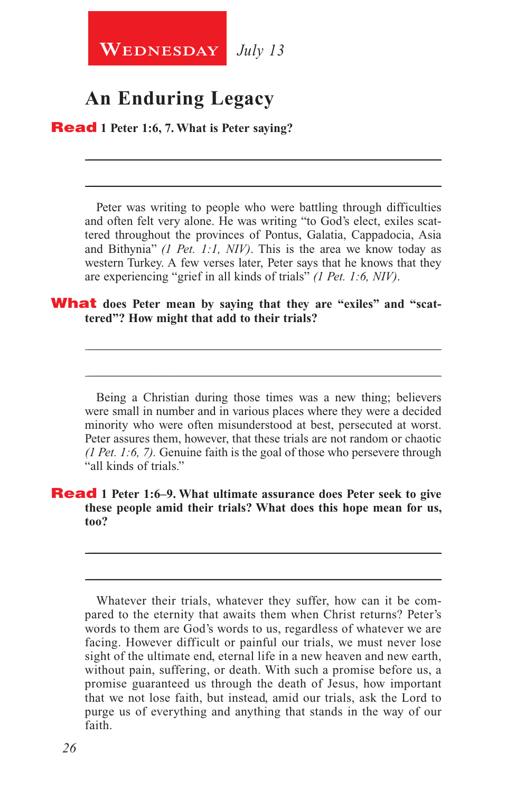

## **An Enduring Legacy**

Read **1 Peter 1:6, 7. What is Peter saying?**

Peter was writing to people who were battling through difficulties and often felt very alone. He was writing "to God's elect, exiles scattered throughout the provinces of Pontus, Galatia, Cappadocia, Asia and Bithynia" *(1 Pet. 1:1, NIV)*. This is the area we know today as western Turkey. A few verses later, Peter says that he knows that they are experiencing "grief in all kinds of trials" *(1 Pet. 1:6, NIV)*.

\_\_\_\_\_\_\_\_\_\_\_\_\_\_\_\_\_\_\_\_\_\_\_\_\_\_\_\_\_\_\_\_\_\_\_\_\_\_\_\_\_\_\_\_\_\_\_\_\_\_\_\_\_\_\_\_

\_\_\_\_\_\_\_\_\_\_\_\_\_\_\_\_\_\_\_\_\_\_\_\_\_\_\_\_\_\_\_\_\_\_\_\_\_\_\_\_\_\_\_\_\_\_\_\_\_\_\_\_\_\_\_\_

#### **What** does Peter mean by saying that they are "exiles" and "scat**tered"? How might that add to their trials?**

Being a Christian during those times was a new thing; believers were small in number and in various places where they were a decided minority who were often misunderstood at best, persecuted at worst. Peter assures them, however, that these trials are not random or chaotic *(1 Pet. 1:6, 7).* Genuine faith is the goal of those who persevere through "all kinds of trials."

\_\_\_\_\_\_\_\_\_\_\_\_\_\_\_\_\_\_\_\_\_\_\_\_\_\_\_\_\_\_\_\_\_\_\_\_\_\_\_\_\_\_\_\_\_\_\_\_\_\_\_\_\_\_\_\_

\_\_\_\_\_\_\_\_\_\_\_\_\_\_\_\_\_\_\_\_\_\_\_\_\_\_\_\_\_\_\_\_\_\_\_\_\_\_\_\_\_\_\_\_\_\_\_\_\_\_\_\_\_\_\_\_

#### Read **1 Peter 1:6–9. What ultimate assurance does Peter seek to give these people amid their trials? What does this hope mean for us, too?**

Whatever their trials, whatever they suffer, how can it be compared to the eternity that awaits them when Christ returns? Peter's words to them are God's words to us, regardless of whatever we are facing. However difficult or painful our trials, we must never lose sight of the ultimate end, eternal life in a new heaven and new earth, without pain, suffering, or death. With such a promise before us, a promise guaranteed us through the death of Jesus, how important that we not lose faith, but instead, amid our trials, ask the Lord to purge us of everything and anything that stands in the way of our faith.

\_\_\_\_\_\_\_\_\_\_\_\_\_\_\_\_\_\_\_\_\_\_\_\_\_\_\_\_\_\_\_\_\_\_\_\_\_\_\_\_\_\_\_\_\_\_\_\_\_\_\_\_\_\_\_\_

\_\_\_\_\_\_\_\_\_\_\_\_\_\_\_\_\_\_\_\_\_\_\_\_\_\_\_\_\_\_\_\_\_\_\_\_\_\_\_\_\_\_\_\_\_\_\_\_\_\_\_\_\_\_\_\_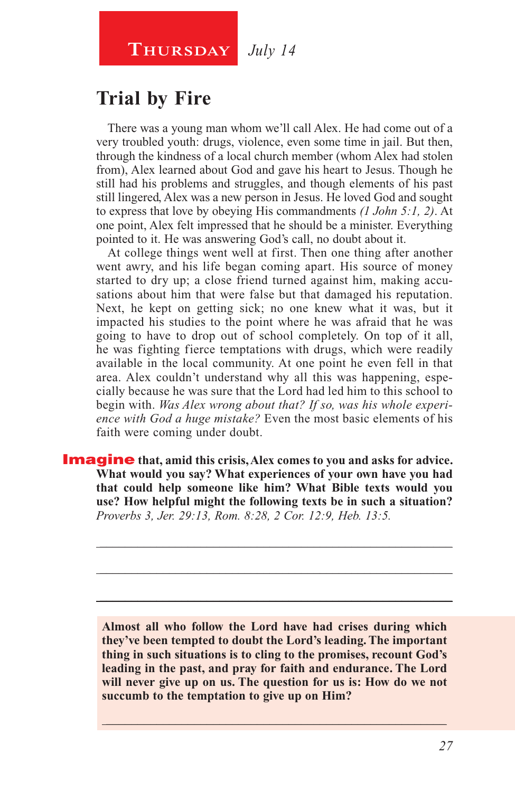#### **Thursday** *July 14*

## **Trial by Fire**

There was a young man whom we'll call Alex. He had come out of a very troubled youth: drugs, violence, even some time in jail. But then, through the kindness of a local church member (whom Alex had stolen from), Alex learned about God and gave his heart to Jesus. Though he still had his problems and struggles, and though elements of his past still lingered, Alex was a new person in Jesus. He loved God and sought to express that love by obeying His commandments *(1 John 5:1, 2)*. At one point, Alex felt impressed that he should be a minister. Everything pointed to it. He was answering God's call, no doubt about it.

At college things went well at first. Then one thing after another went awry, and his life began coming apart. His source of money started to dry up; a close friend turned against him, making accusations about him that were false but that damaged his reputation. Next, he kept on getting sick; no one knew what it was, but it impacted his studies to the point where he was afraid that he was going to have to drop out of school completely. On top of it all, he was fighting fierce temptations with drugs, which were readily available in the local community. At one point he even fell in that area. Alex couldn't understand why all this was happening, especially because he was sure that the Lord had led him to this school to begin with. *Was Alex wrong about that? If so, was his whole experience with God a huge mistake?* Even the most basic elements of his faith were coming under doubt.

**Imagine** that, amid this crisis, Alex comes to you and asks for advice. **What would you say? What experiences of your own have you had that could help someone like him? What Bible texts would you use? How helpful might the following texts be in such a situation?**  *Proverbs 3, Jer. 29:13, Rom. 8:28, 2 Cor. 12:9, Heb. 13:5.*

**Almost all who follow the Lord have had crises during which they've been tempted to doubt the Lord's leading. The important thing in such situations is to cling to the promises, recount God's leading in the past, and pray for faith and endurance. The Lord will never give up on us. The question for us is: How do we not succumb to the temptation to give up on Him?** 

\_\_\_\_\_\_\_\_\_\_\_\_\_\_\_\_\_\_\_\_\_\_\_\_\_\_\_\_\_\_\_\_\_\_\_\_\_\_\_\_\_\_\_\_\_\_\_\_\_\_\_\_\_\_

\_\_\_\_\_\_\_\_\_\_\_\_\_\_\_\_\_\_\_\_\_\_\_\_\_\_\_\_\_\_\_\_\_\_\_\_\_\_\_\_\_\_\_\_\_\_\_\_\_\_\_\_\_\_\_\_

\_\_\_\_\_\_\_\_\_\_\_\_\_\_\_\_\_\_\_\_\_\_\_\_\_\_\_\_\_\_\_\_\_\_\_\_\_\_\_\_\_\_\_\_\_\_\_\_\_\_\_\_\_\_\_\_

\_\_\_\_\_\_\_\_\_\_\_\_\_\_\_\_\_\_\_\_\_\_\_\_\_\_\_\_\_\_\_\_\_\_\_\_\_\_\_\_\_\_\_\_\_\_\_\_\_\_\_\_\_\_\_\_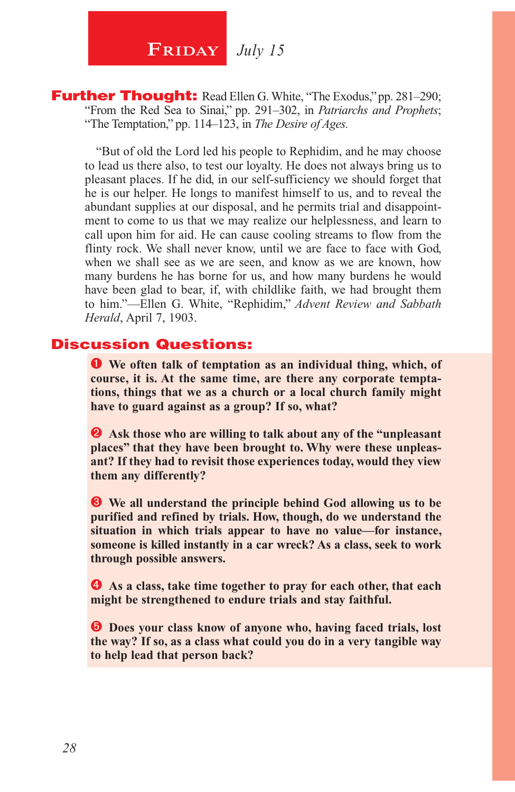**FRIDAY** July 15

**Further Thought:** Read Ellen G. White, "The Exodus," pp. 281–290; "From the Red Sea to Sinai," pp. 291–302, in *Patriarchs and Prophets*; "The Temptation," pp. 114–123, in *The Desire of Ages.*

"But of old the Lord led his people to Rephidim, and he may choose to lead us there also, to test our loyalty. He does not always bring us to pleasant places. If he did, in our self-sufficiency we should forget that he is our helper. He longs to manifest himself to us, and to reveal the abundant supplies at our disposal, and he permits trial and disappointment to come to us that we may realize our helplessness, and learn to call upon him for aid. He can cause cooling streams to flow from the flinty rock. We shall never know, until we are face to face with God, when we shall see as we are seen, and know as we are known, how many burdens he has borne for us, and how many burdens he would have been glad to bear, if, with childlike faith, we had brought them to him."—Ellen G. White, "Rephidim," *Advent Review and Sabbath Herald*, April 7, 1903.

#### Discussion Questions:

 **We often talk of temptation as an individual thing, which, of course, it is. At the same time, are there any corporate temptations, things that we as a church or a local church family might have to guard against as a group? If so, what?**

 **Ask those who are willing to talk about any of the "unpleasant places" that they have been brought to. Why were these unpleasant? If they had to revisit those experiences today, would they view them any differently?**

 **We all understand the principle behind God allowing us to be purified and refined by trials. How, though, do we understand the situation in which trials appear to have no value—for instance, someone is killed instantly in a car wreck? As a class, seek to work through possible answers.**

 **As a class, take time together to pray for each other, that each might be strengthened to endure trials and stay faithful.**

 $\bullet$  Does your class know of anyone who, having faced trials, lost **the way? If so, as a class what could you do in a very tangible way to help lead that person back?**